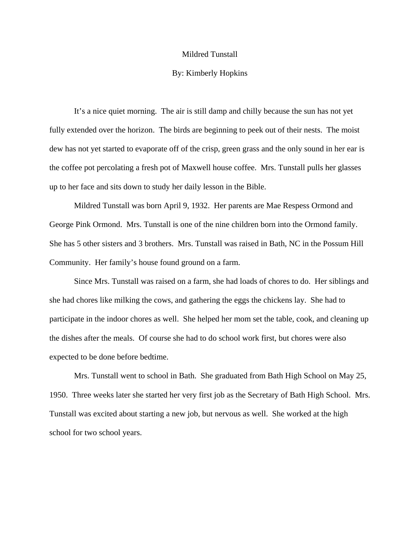## Mildred Tunstall

## By: Kimberly Hopkins

 It's a nice quiet morning. The air is still damp and chilly because the sun has not yet fully extended over the horizon. The birds are beginning to peek out of their nests. The moist dew has not yet started to evaporate off of the crisp, green grass and the only sound in her ear is the coffee pot percolating a fresh pot of Maxwell house coffee. Mrs. Tunstall pulls her glasses up to her face and sits down to study her daily lesson in the Bible.

Mildred Tunstall was born April 9, 1932. Her parents are Mae Respess Ormond and George Pink Ormond. Mrs. Tunstall is one of the nine children born into the Ormond family. She has 5 other sisters and 3 brothers. Mrs. Tunstall was raised in Bath, NC in the Possum Hill Community. Her family's house found ground on a farm.

 Since Mrs. Tunstall was raised on a farm, she had loads of chores to do. Her siblings and she had chores like milking the cows, and gathering the eggs the chickens lay. She had to participate in the indoor chores as well. She helped her mom set the table, cook, and cleaning up the dishes after the meals. Of course she had to do school work first, but chores were also expected to be done before bedtime.

 Mrs. Tunstall went to school in Bath. She graduated from Bath High School on May 25, 1950. Three weeks later she started her very first job as the Secretary of Bath High School. Mrs. Tunstall was excited about starting a new job, but nervous as well. She worked at the high school for two school years.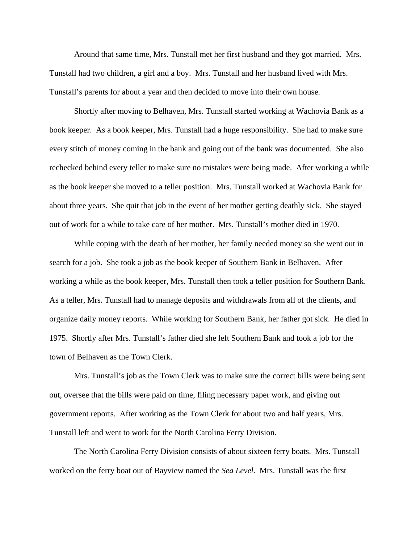Around that same time, Mrs. Tunstall met her first husband and they got married. Mrs. Tunstall had two children, a girl and a boy. Mrs. Tunstall and her husband lived with Mrs. Tunstall's parents for about a year and then decided to move into their own house.

 Shortly after moving to Belhaven, Mrs. Tunstall started working at Wachovia Bank as a book keeper. As a book keeper, Mrs. Tunstall had a huge responsibility. She had to make sure every stitch of money coming in the bank and going out of the bank was documented. She also rechecked behind every teller to make sure no mistakes were being made. After working a while as the book keeper she moved to a teller position. Mrs. Tunstall worked at Wachovia Bank for about three years. She quit that job in the event of her mother getting deathly sick. She stayed out of work for a while to take care of her mother. Mrs. Tunstall's mother died in 1970.

While coping with the death of her mother, her family needed money so she went out in search for a job. She took a job as the book keeper of Southern Bank in Belhaven. After working a while as the book keeper, Mrs. Tunstall then took a teller position for Southern Bank. As a teller, Mrs. Tunstall had to manage deposits and withdrawals from all of the clients, and organize daily money reports. While working for Southern Bank, her father got sick. He died in 1975. Shortly after Mrs. Tunstall's father died she left Southern Bank and took a job for the town of Belhaven as the Town Clerk.

Mrs. Tunstall's job as the Town Clerk was to make sure the correct bills were being sent out, oversee that the bills were paid on time, filing necessary paper work, and giving out government reports. After working as the Town Clerk for about two and half years, Mrs. Tunstall left and went to work for the North Carolina Ferry Division.

The North Carolina Ferry Division consists of about sixteen ferry boats. Mrs. Tunstall worked on the ferry boat out of Bayview named the *Sea Level*. Mrs. Tunstall was the first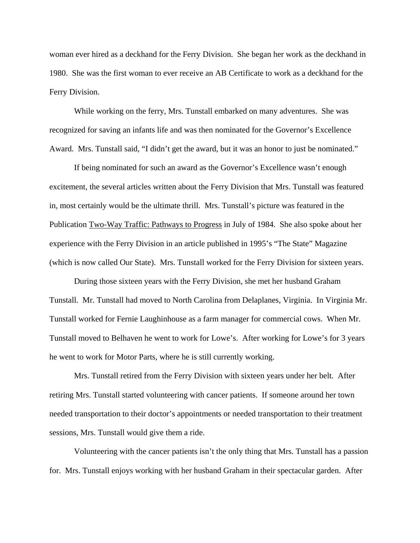woman ever hired as a deckhand for the Ferry Division. She began her work as the deckhand in 1980. She was the first woman to ever receive an AB Certificate to work as a deckhand for the Ferry Division.

While working on the ferry, Mrs. Tunstall embarked on many adventures. She was recognized for saving an infants life and was then nominated for the Governor's Excellence Award. Mrs. Tunstall said, "I didn't get the award, but it was an honor to just be nominated."

If being nominated for such an award as the Governor's Excellence wasn't enough excitement, the several articles written about the Ferry Division that Mrs. Tunstall was featured in, most certainly would be the ultimate thrill. Mrs. Tunstall's picture was featured in the Publication Two-Way Traffic: Pathways to Progress in July of 1984. She also spoke about her experience with the Ferry Division in an article published in 1995's "The State" Magazine (which is now called Our State). Mrs. Tunstall worked for the Ferry Division for sixteen years.

During those sixteen years with the Ferry Division, she met her husband Graham Tunstall. Mr. Tunstall had moved to North Carolina from Delaplanes, Virginia. In Virginia Mr. Tunstall worked for Fernie Laughinhouse as a farm manager for commercial cows. When Mr. Tunstall moved to Belhaven he went to work for Lowe's. After working for Lowe's for 3 years he went to work for Motor Parts, where he is still currently working.

Mrs. Tunstall retired from the Ferry Division with sixteen years under her belt. After retiring Mrs. Tunstall started volunteering with cancer patients. If someone around her town needed transportation to their doctor's appointments or needed transportation to their treatment sessions, Mrs. Tunstall would give them a ride.

Volunteering with the cancer patients isn't the only thing that Mrs. Tunstall has a passion for. Mrs. Tunstall enjoys working with her husband Graham in their spectacular garden. After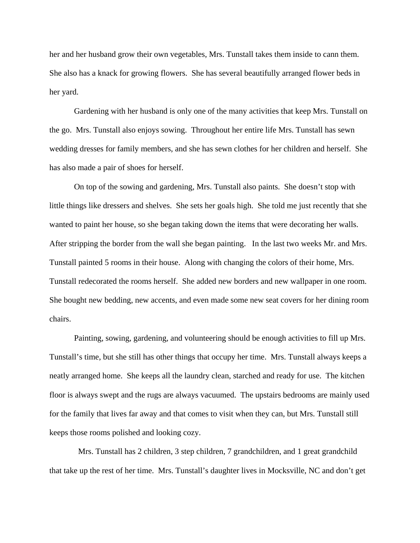her and her husband grow their own vegetables, Mrs. Tunstall takes them inside to cann them. She also has a knack for growing flowers. She has several beautifully arranged flower beds in her yard.

Gardening with her husband is only one of the many activities that keep Mrs. Tunstall on the go. Mrs. Tunstall also enjoys sowing. Throughout her entire life Mrs. Tunstall has sewn wedding dresses for family members, and she has sewn clothes for her children and herself. She has also made a pair of shoes for herself.

On top of the sowing and gardening, Mrs. Tunstall also paints. She doesn't stop with little things like dressers and shelves. She sets her goals high. She told me just recently that she wanted to paint her house, so she began taking down the items that were decorating her walls. After stripping the border from the wall she began painting. In the last two weeks Mr. and Mrs. Tunstall painted 5 rooms in their house. Along with changing the colors of their home, Mrs. Tunstall redecorated the rooms herself. She added new borders and new wallpaper in one room. She bought new bedding, new accents, and even made some new seat covers for her dining room chairs.

Painting, sowing, gardening, and volunteering should be enough activities to fill up Mrs. Tunstall's time, but she still has other things that occupy her time. Mrs. Tunstall always keeps a neatly arranged home. She keeps all the laundry clean, starched and ready for use. The kitchen floor is always swept and the rugs are always vacuumed. The upstairs bedrooms are mainly used for the family that lives far away and that comes to visit when they can, but Mrs. Tunstall still keeps those rooms polished and looking cozy.

 Mrs. Tunstall has 2 children, 3 step children, 7 grandchildren, and 1 great grandchild that take up the rest of her time. Mrs. Tunstall's daughter lives in Mocksville, NC and don't get